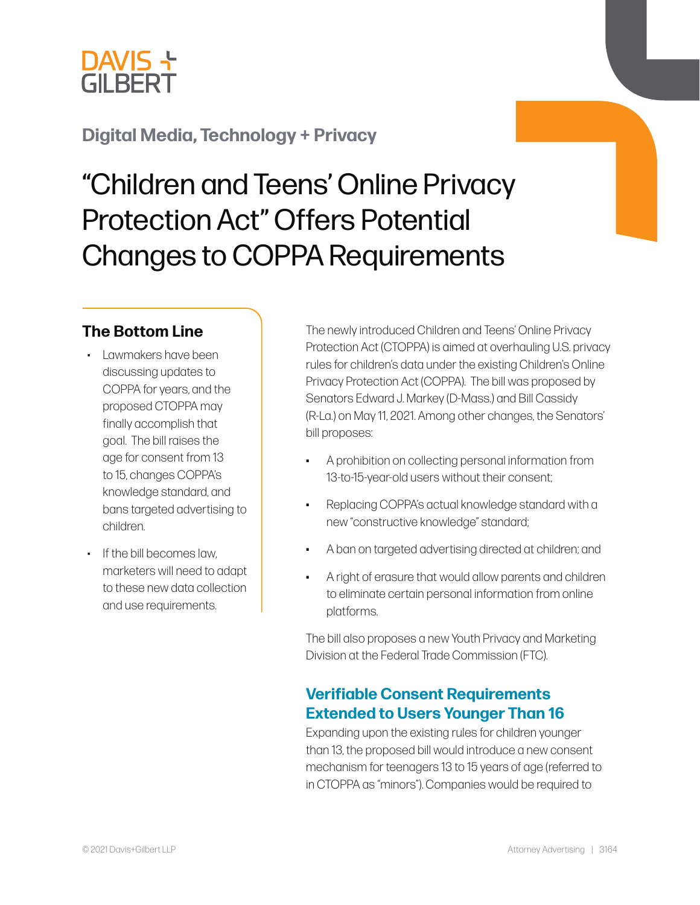

# **[Digital Media, Technology + Privacy](https://www.dglaw.com/practice-area-details.cfm?pgcat=Digital%20Media%2C%20Technology%20%26%20Privacy)**

# "Children and Teens' Online Privacy Protection Act" Offers Potential Changes to COPPA Requirements

#### **The Bottom Line**

- Lawmakers have been discussing updates to COPPA for years, and the proposed CTOPPA may finally accomplish that goal. The bill raises the age for consent from 13 to 15, changes COPPA's knowledge standard, and bans targeted advertising to children.
- If the bill becomes law, marketers will need to adapt to these new data collection and use requirements.

The newly introduced Children and Teens' Online Privacy Protection Act (CTOPPA) is aimed at overhauling U.S. privacy rules for children's data under the existing Children's Online Privacy Protection Act (COPPA). The bill was proposed by Senators Edward J. Markey (D-Mass.) and Bill Cassidy (R-La.) on May 11, 2021. Among other changes, the Senators' bill proposes:

- A prohibition on collecting personal information from 13-to-15-year-old users without their consent;
- Replacing COPPA's actual knowledge standard with a new "constructive knowledge" standard;
- A ban on targeted advertising directed at children; and
- A right of erasure that would allow parents and children to eliminate certain personal information from online platforms.

The bill also proposes a new Youth Privacy and Marketing Division at the Federal Trade Commission (FTC).

## **Verifiable Consent Requirements Extended to Users Younger Than 16**

Expanding upon the existing rules for children younger than 13, the proposed bill would introduce a new consent mechanism for teenagers 13 to 15 years of age (referred to in CTOPPA as "minors"). Companies would be required to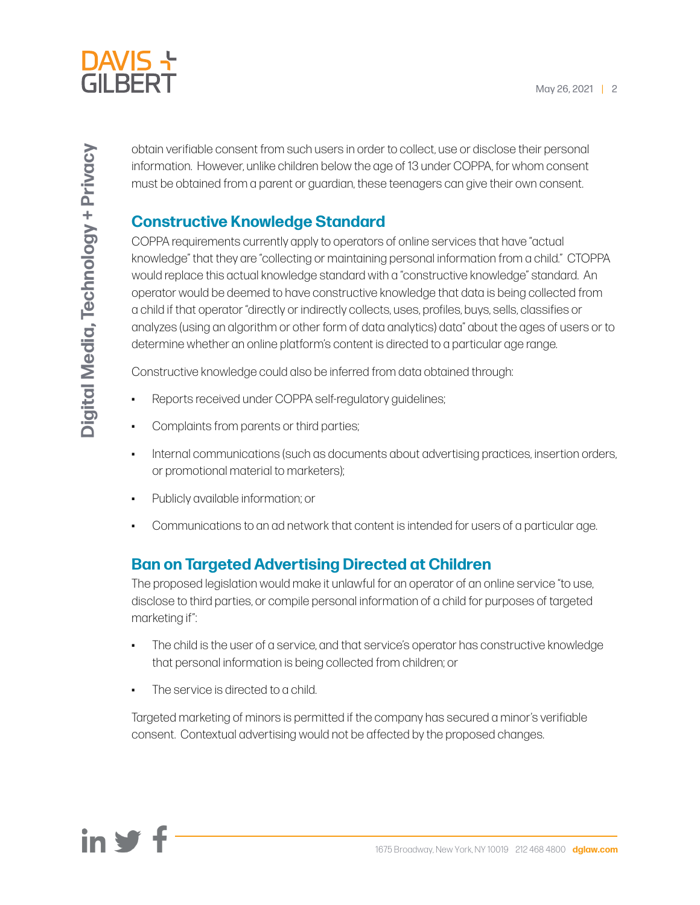

obtain verifiable consent from such users in order to collect, use or disclose their personal information. However, unlike children below the age of 13 under COPPA, for whom consent must be obtained from a parent or guardian, these teenagers can give their own consent.

## **Constructive Knowledge Standard**

COPPA requirements currently apply to operators of online services that have "actual knowledge" that they are "collecting or maintaining personal information from a child." CTOPPA would replace this actual knowledge standard with a "constructive knowledge" standard. An operator would be deemed to have constructive knowledge that data is being collected from a child if that operator "directly or indirectly collects, uses, profiles, buys, sells, classifies or analyzes (using an algorithm or other form of data analytics) data" about the ages of users or to determine whether an online platform's content is directed to a particular age range.

Constructive knowledge could also be inferred from data obtained through:

- Reports received under COPPA self-regulatory guidelines;
- Complaints from parents or third parties;
- Internal communications (such as documents about advertising practices, insertion orders, or promotional material to marketers);
- Publicly available information; or
- Communications to an ad network that content is intended for users of a particular age.

# **Ban on Targeted Advertising Directed at Children**

The proposed legislation would make it unlawful for an operator of an online service "to use, disclose to third parties, or compile personal information of a child for purposes of targeted marketing if":

- The child is the user of a service, and that service's operator has constructive knowledge that personal information is being collected from children; or
- The service is directed to a child.

Targeted marketing of minors is permitted if the company has secured a minor's verifiable consent. Contextual advertising would not be affected by the proposed changes.

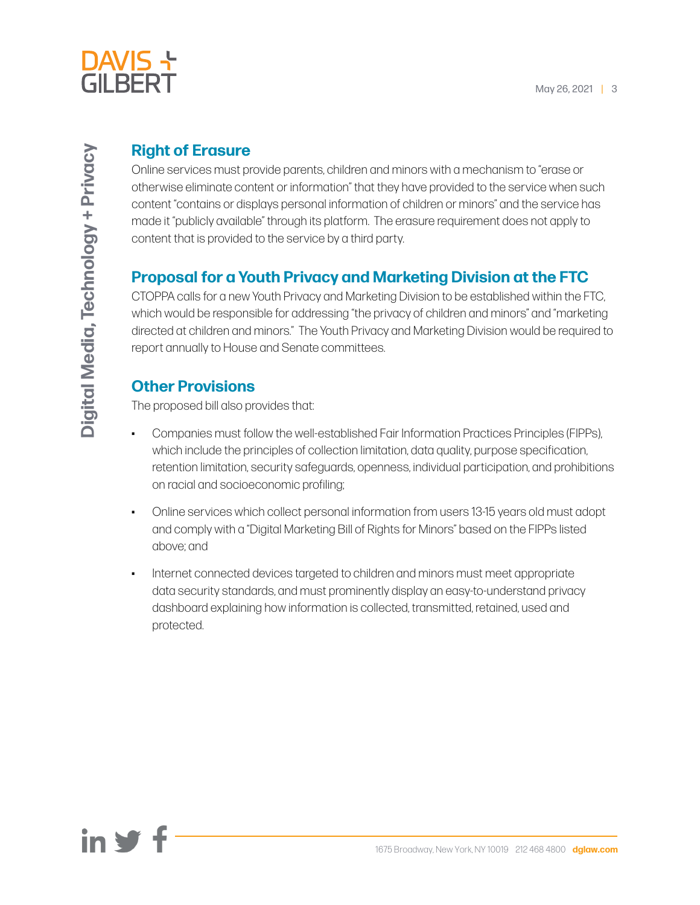

## **Right of Erasure**

Online services must provide parents, children and minors with a mechanism to "erase or otherwise eliminate content or information" that they have provided to the service when such content "contains or displays personal information of children or minors" and the service has made it "publicly available" through its platform. The erasure requirement does not apply to content that is provided to the service by a third party.

# **Proposal for a Youth Privacy and Marketing Division at the FTC**

CTOPPA calls for a new Youth Privacy and Marketing Division to be established within the FTC, which would be responsible for addressing "the privacy of children and minors" and "marketing directed at children and minors." The Youth Privacy and Marketing Division would be required to report annually to House and Senate committees.

# **Other Provisions**

The proposed bill also provides that:

- Companies must follow the well-established Fair Information Practices Principles (FIPPs), which include the principles of collection limitation, data quality, purpose specification, retention limitation, security safeguards, openness, individual participation, and prohibitions on racial and socioeconomic profiling;
- Online services which collect personal information from users 13-15 years old must adopt and comply with a "Digital Marketing Bill of Rights for Minors" based on the FIPPs listed above; and
- Internet connected devices targeted to children and minors must meet appropriate data security standards, and must prominently display an easy-to-understand privacy dashboard explaining how information is collected, transmitted, retained, used and protected.